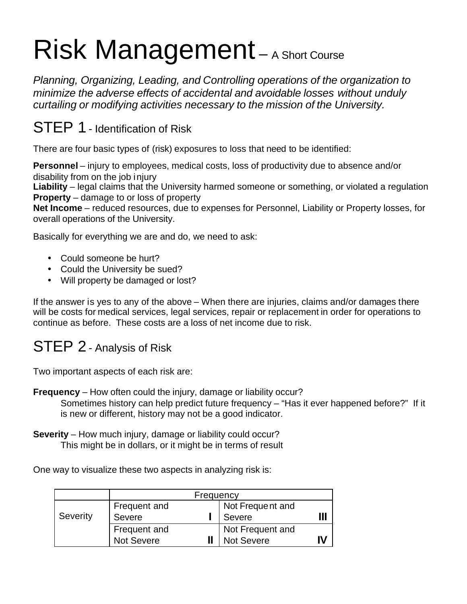# Risk Management – A Short Course

*Planning, Organizing, Leading, and Controlling operations of the organization to minimize the adverse effects of accidental and avoidable losses without unduly curtailing or modifying activities necessary to the mission of the University.*

## STEP 1 - Identification of Risk

There are four basic types of (risk) exposures to loss that need to be identified:

**Personnel** – injury to employees, medical costs, loss of productivity due to absence and/or disability from on the job injury

**Liability** – legal claims that the University harmed someone or something, or violated a regulation **Property** – damage to or loss of property

**Net Income** – reduced resources, due to expenses for Personnel, Liability or Property losses, for overall operations of the University.

Basically for everything we are and do, we need to ask:

- Could someone be hurt?
- Could the University be sued?
- Will property be damaged or lost?

If the answer is yes to any of the above – When there are injuries, claims and/or damages there will be costs for medical services, legal services, repair or replacement in order for operations to continue as before. These costs are a loss of net income due to risk.

## STEP 2 - Analysis of Risk

Two important aspects of each risk are:

- **Frequency** How often could the injury, damage or liability occur? Sometimes history can help predict future frequency – "Has it ever happened before?" If it is new or different, history may not be a good indicator.
- **Severity** How much injury, damage or liability could occur? This might be in dollars, or it might be in terms of result

One way to visualize these two aspects in analyzing risk is:

|          | Frequency         |  |                   |    |
|----------|-------------------|--|-------------------|----|
|          | Frequent and      |  | Not Frequent and  |    |
| Severity | Severe            |  | Severe            |    |
|          | Frequent and      |  | Not Frequent and  |    |
|          | <b>Not Severe</b> |  | <b>Not Severe</b> | IV |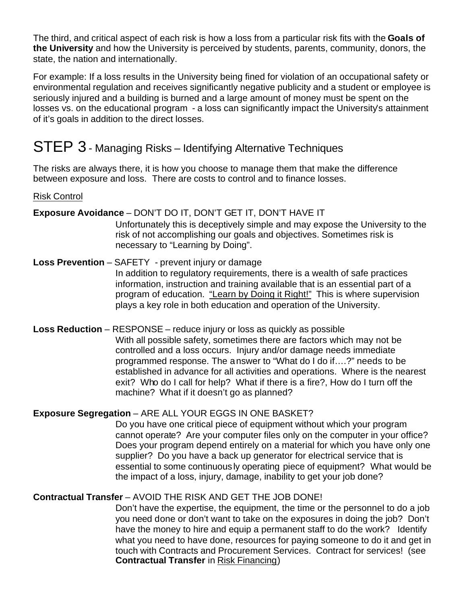The third, and critical aspect of each risk is how a loss from a particular risk fits with the **Goals of the University** and how the University is perceived by students, parents, community, donors, the state, the nation and internationally.

For example: If a loss results in the University being fined for violation of an occupational safety or environmental regulation and receives significantly negative publicity and a student or employee is seriously injured and a building is burned and a large amount of money must be spent on the losses vs. on the educational program - a loss can significantly impact the University's attainment of it's goals in addition to the direct losses.

## STEP 3 - Managing Risks – Identifying Alternative Techniques

The risks are always there, it is how you choose to manage them that make the difference between exposure and loss. There are costs to control and to finance losses.

#### Risk Control

#### **Exposure Avoidance** – DON'T DO IT, DON'T GET IT, DON'T HAVE IT

Unfortunately this is deceptively simple and may expose the University to the risk of not accomplishing our goals and objectives. Sometimes risk is necessary to "Learning by Doing".

- **Loss Prevention** SAFETY prevent injury or damage In addition to regulatory requirements, there is a wealth of safe practices information, instruction and training available that is an essential part of a program of education. "Learn by Doing it Right!" This is where supervision plays a key role in both education and operation of the University.
- **Loss Reduction** RESPONSE reduce injury or loss as quickly as possible With all possible safety, sometimes there are factors which may not be controlled and a loss occurs. Injury and/or damage needs immediate programmed response. The answer to "What do I do if….?" needs to be established in advance for all activities and operations. Where is the nearest exit? Who do I call for help? What if there is a fire?, How do I turn off the machine? What if it doesn't go as planned?

#### **Exposure Segregation** – ARE ALL YOUR EGGS IN ONE BASKET?

Do you have one critical piece of equipment without which your program cannot operate? Are your computer files only on the computer in your office? Does your program depend entirely on a material for which you have only one supplier? Do you have a back up generator for electrical service that is essential to some continuously operating piece of equipment? What would be the impact of a loss, injury, damage, inability to get your job done?

**Contractual Transfer** – AVOID THE RISK AND GET THE JOB DONE!

Don't have the expertise, the equipment, the time or the personnel to do a job you need done or don't want to take on the exposures in doing the job? Don't have the money to hire and equip a permanent staff to do the work? Identify what you need to have done, resources for paying someone to do it and get in touch with Contracts and Procurement Services. Contract for services! (see **Contractual Transfer** in Risk Financing)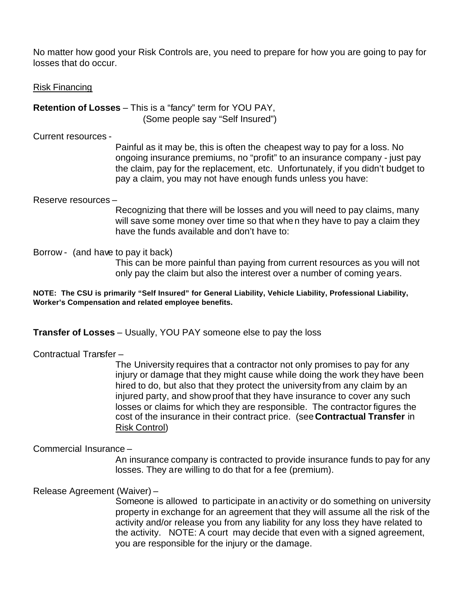No matter how good your Risk Controls are, you need to prepare for how you are going to pay for losses that do occur.

Risk Financing

**Retention of Losses** – This is a "fancy" term for YOU PAY, (Some people say "Self Insured")

Current resources -

Painful as it may be, this is often the cheapest way to pay for a loss. No ongoing insurance premiums, no "profit" to an insurance company - just pay the claim, pay for the replacement, etc. Unfortunately, if you didn't budget to pay a claim, you may not have enough funds unless you have:

Reserve resources –

Recognizing that there will be losses and you will need to pay claims, many will save some money over time so that when they have to pay a claim they have the funds available and don't have to:

Borrow - (and have to pay it back) This can be more painful than paying from current resources as you will not only pay the claim but also the interest over a number of coming years.

**NOTE: The CSU is primarily "Self Insured" for General Liability, Vehicle Liability, Professional Liability, Worker's Compensation and related employee benefits.**

**Transfer of Losses** – Usually, YOU PAY someone else to pay the loss

Contractual Transfer –

The University requires that a contractor not only promises to pay for any injury or damage that they might cause while doing the work they have been hired to do, but also that they protect the university from any claim by an injured party, and show proof that they have insurance to cover any such losses or claims for which they are responsible. The contractor figures the cost of the insurance in their contract price. (see **Contractual Transfer** in Risk Control)

Commercial Insurance –

An insurance company is contracted to provide insurance funds to pay for any losses. They are willing to do that for a fee (premium).

Release Agreement (Waiver) –

Someone is allowed to participate in anactivity or do something on university property in exchange for an agreement that they will assume all the risk of the activity and/or release you from any liability for any loss they have related to the activity. NOTE: A court may decide that even with a signed agreement, you are responsible for the injury or the damage.